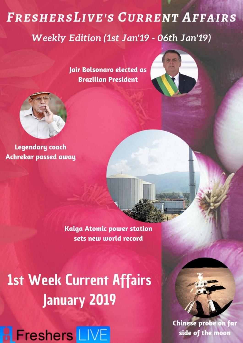# **FRESHERSLIVE'S CURRENT AFFAIRS** Weekly Edition (1st Jan'19 - 06th Jan'19)

Jair Bolsonaro elected as **Brazilian President** 





**Legendary coach Achrekar passed away** 

> **Kaiga Atomic power station** sets new world record

**1st Week Current Affairs January 2019** 



**Chinese probe on far** side of the moon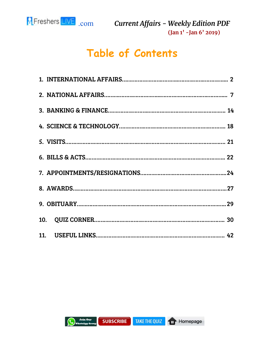

# **Table of Contents**

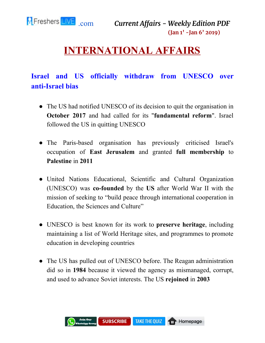<span id="page-2-0"></span>

# **INTERNATIONAL AFFAIRS**

### **Israel and US officially withdraw from UNESCO over anti-Israel bias**

- The US had notified UNESCO of its decision to quit the organisation in **October 2017** and had called for its "**fundamental reform**". Israel followed the US in quitting UNESCO
- The Paris-based organisation has previously criticised Israel's occupation of **East Jerusalem** and granted **full membership** to **Palestine** in **2011**
- United Nations Educational, Scientific and Cultural Organization (UNESCO) was **co-founded** by the **US** after World War II with the mission of seeking to "build peace through international cooperation in Education, the Sciences and Culture"
- UNESCO is best known for its work to **preserve heritage**, including maintaining a list of World Heritage sites, and programmes to promote education in developing countries
- The US has pulled out of UNESCO before. The Reagan administration did so in **1984** because it viewed the agency as mismanaged, corrupt, and used to advance Soviet interests. The US **rejoined** in **2003**

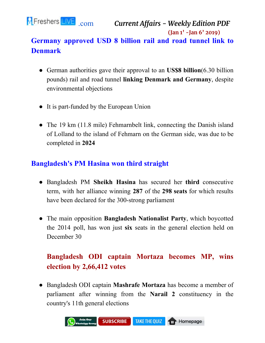![](_page_3_Picture_0.jpeg)

### **Germany approved USD 8 billion rail and road tunnel link to Denmark**

- German authorities gave their approval to an **US\$8 billion**(6.30 billion pounds) rail and road tunnel **linking Denmark and Germany**, despite environmental objections
- It is part-funded by the European Union
- The 19 km (11.8 mile) Fehmarnbelt link, connecting the Danish island of Lolland to the island of Fehmarn on the German side, was due to be completed in **2024**

#### **Bangladesh's PM Hasina won third straight**

- Bangladesh PM **Sheikh Hasina** has secured her **third** consecutive term, with her alliance winning **287** of the **298 seats** for which results have been declared for the 300-strong parliament
- The main opposition **Bangladesh Nationalist Party**, which boycotted the 2014 poll, has won just **six** seats in the general election held on December 30

# **Bangladesh ODI captain Mortaza becomes MP, wins election by 2,66,412 votes**

● Bangladesh ODI captain **Mashrafe Mortaza** has become a member of parliament after winning from the **Narail 2** constituency in the country's 11th general elections

![](_page_3_Picture_11.jpeg)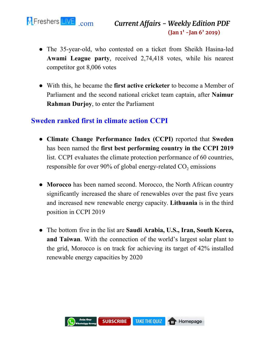![](_page_4_Picture_0.jpeg)

- The 35-year-old, who contested on a ticket from Sheikh Hasina-led **Awami League party**, received 2,74,418 votes, while his nearest competitor got 8,006 votes
- With this, he became the **first active cricketer** to become a Member of Parliament and the second national cricket team captain, after **Naimur Rahman Durjoy**, to enter the Parliament

#### **Sweden ranked first in climate action CCPI**

- **Climate Change Performance Index (CCPI)** reported that **Sweden** has been named the **first best performing country in the CCPI 2019** list. CCPI evaluates the climate protection performance of 60 countries, responsible for over 90% of global energy-related  $CO_2$  emissions
- **Morocco** has been named second. Morocco, the North African country significantly increased the share of renewables over the past five years and increased new renewable energy capacity. **Lithuania** is in the third position in CCPI 2019
- The bottom five in the list are **Saudi Arabia, U.S., Iran, South Korea, and Taiwan**. With the connection of the world's largest solar plant to the grid, Morocco is on track for achieving its target of 42% installed renewable energy capacities by 2020

![](_page_4_Picture_8.jpeg)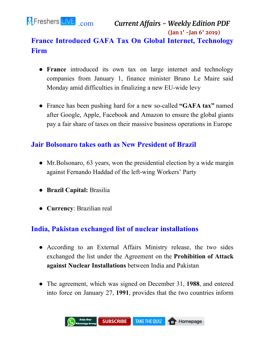![](_page_5_Picture_0.jpeg)

# **France Introduced GAFA Tax On Global Internet, Technology Firm**

- **France** introduced its own tax on large internet and technology companies from January 1, finance minister Bruno Le Maire said Monday amid difficulties in finalizing a new EU-wide levy
- France has been pushing hard for a new so-called **"GAFA tax"** named after Google, Apple, Facebook and Amazon to ensure the global giants pay a fair share of taxes on their massive business operations in Europe

#### **Jair Bolsonaro takes oath as New President of Brazil**

- Mr. Bolsonaro, 63 years, won the presidential election by a wide margin against Fernando Haddad of the left-wing Workers' Party
- **● Brazil Capital:** Brasilia
- **Currency**: Brazilian real

#### **India, Pakistan exchanged list of nuclear installations**

- According to an External Affairs Ministry release, the two sides exchanged the list under the Agreement on the **Prohibition of Attack against Nuclear Installations** between India and Pakistan
- The agreement, which was signed on December 31, **1988**, and entered into force on January 27, **1991**, provides that the two countries inform

![](_page_5_Picture_12.jpeg)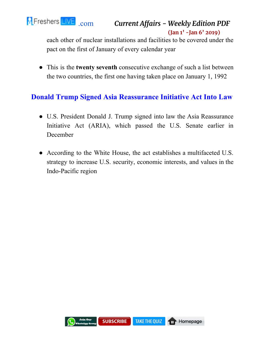![](_page_6_Picture_0.jpeg)

each other of nuclear installations and facilities to be covered under the pact on the first of January of every calendar year

● This is the **twenty seventh** consecutive exchange of such a list between the two countries, the first one having taken place on January 1, 1992

#### **Donald Trump Signed Asia Reassurance Initiative Act Into Law**

- U.S. President Donald J. Trump signed into law the Asia Reassurance Initiative Act (ARIA), which passed the U.S. Senate earlier in December
- According to the White House, the act establishes a multifaceted U.S. strategy to increase U.S. security, economic interests, and values in the Indo-Pacific region

![](_page_6_Picture_7.jpeg)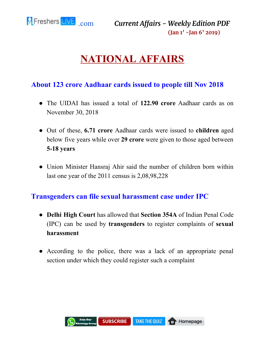<span id="page-7-0"></span>![](_page_7_Picture_0.jpeg)

# **NATIONAL AFFAIRS**

#### **About 123 crore Aadhaar cards issued to people till Nov 2018**

- The UIDAI has issued a total of **122.90 crore** Aadhaar cards as on November 30, 2018
- Out of these, **6.71 crore** Aadhaar cards were issued to **children** aged below five years while over **29 crore** were given to those aged between **5-18 years**
- Union Minister Hansraj Ahir said the number of children born within last one year of the 2011 census is 2,08,98,228

#### **Transgenders can file sexual harassment case under IPC**

- **Delhi High Court** has allowed that **Section 354A** of Indian Penal Code (IPC) can be used by **transgenders** to register complaints of **sexual harassment**
- According to the police, there was a lack of an appropriate penal section under which they could register such a complaint

![](_page_7_Picture_10.jpeg)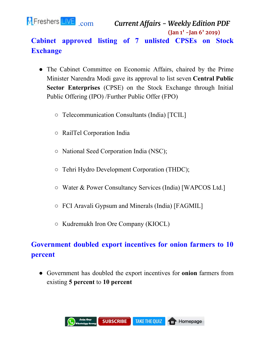![](_page_8_Picture_0.jpeg)

### **Cabinet approved listing of 7 unlisted CPSEs on Stock Exchange**

- The Cabinet Committee on Economic Affairs, chaired by the Prime Minister Narendra Modi gave its approval to list seven **Central Public Sector Enterprises** (CPSE) on the Stock Exchange through Initial Public Offering (IPO) /Further Public Offer (FPO)
	- Telecommunication Consultants (India) [TCIL]
	- RailTel Corporation India
	- National Seed Corporation India (NSC);
	- Tehri Hydro Development Corporation (THDC);
	- Water & Power Consultancy Services (India) [WAPCOS Ltd.]
	- FCI Aravali Gypsum and Minerals (India) [FAGMIL]
	- Kudremukh Iron Ore Company (KIOCL)

# **Government doubled export incentives for onion farmers to 10 percent**

● Government has doubled the export incentives for **onion** farmers from existing **5 percent** to **10 percent**

![](_page_8_Picture_13.jpeg)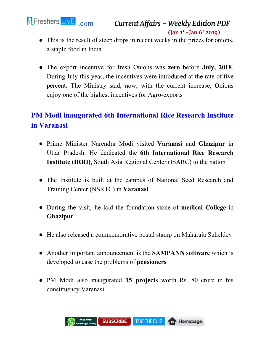![](_page_9_Picture_0.jpeg)

```
.com Current Affairs - Weekly Edition PDF
                      (Jan 1' -Jan 6' 2019)
```
- This is the result of steep drops in recent weeks in the prices for onions, a staple food in India
- The export incentive for fresh Onions was **zero** before **July, 2018**. During July this year, the incentives were introduced at the rate of five percent. The Ministry said, now, with the current increase, Onions enjoy one of the highest incentives for Agro-exports

# **PM Modi inaugurated 6th International Rice Research Institute in Varanasi**

- Prime Minister Narendra Modi visited **Varanasi** and **Ghazipur** in Uttar Pradesh. He dedicated the **6th International Rice Research Institute (IRRI)**, South Asia Regional Center (ISARC) to the nation
- The Institute is built at the campus of National Seed Research and Training Center (NSRTC) in **Varanasi**
- During the visit, he laid the foundation stone of **medical College** in **Ghazipur**
- He also released a commemorative postal stamp on Maharaja Suheldev
- Another important announcement is the **SAMPANN software** which is developed to ease the problems of **pensioners**
- PM Modi also inaugurated **15 projects** worth Rs. 80 crore in his constituency Varanasi

![](_page_9_Picture_11.jpeg)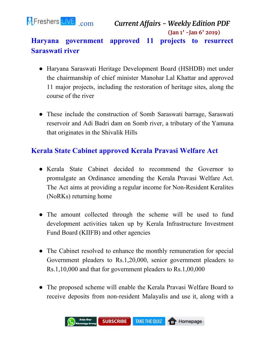![](_page_10_Picture_0.jpeg)

### **Haryana government approved 11 projects to resurrect Saraswati river**

- Haryana Saraswati Heritage Development Board (HSHDB) met under the chairmanship of chief minister Manohar Lal Khattar and approved 11 major projects, including the restoration of heritage sites, along the course of the river
- These include the construction of Somb Saraswati barrage, Saraswati reservoir and Adi Badri dam on Somb river, a tributary of the Yamuna that originates in the Shivalik Hills

#### **Kerala State Cabinet approved Kerala Pravasi Welfare Act**

- Kerala State Cabinet decided to recommend the Governor to promulgate an Ordinance amending the Kerala Pravasi Welfare Act. The Act aims at providing a regular income for Non-Resident Keralites (NoRKs) returning home
- The amount collected through the scheme will be used to fund development activities taken up by Kerala Infrastructure Investment Fund Board (KIIFB) and other agencies
- The Cabinet resolved to enhance the monthly remuneration for special Government pleaders to Rs.1,20,000, senior government pleaders to Rs.1,10,000 and that for government pleaders to Rs.1,00,000
- The proposed scheme will enable the Kerala Pravasi Welfare Board to receive deposits from non-resident Malayalis and use it, along with a

![](_page_10_Picture_10.jpeg)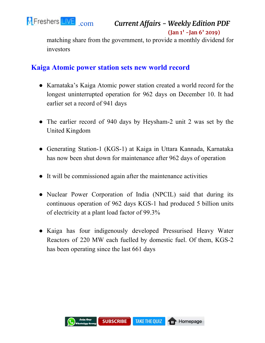![](_page_11_Picture_0.jpeg)

[.com](https://www.fresherslive.com/) *Current Affairs - Weekly Edition PDF*

**(Jan 1' -Jan 6' 2019)**

matching share from the government, to provide a monthly dividend for investors

#### **Kaiga Atomic power station sets new world record**

- Karnataka's Kaiga Atomic power station created a world record for the longest uninterrupted operation for 962 days on December 10. It had earlier set a record of 941 days
- The earlier record of 940 days by Heysham-2 unit 2 was set by the United Kingdom
- Generating Station-1 (KGS-1) at Kaiga in Uttara Kannada, Karnataka has now been shut down for maintenance after 962 days of operation
- It will be commissioned again after the maintenance activities
- Nuclear Power Corporation of India (NPCIL) said that during its continuous operation of 962 days KGS-1 had produced 5 billion units of electricity at a plant load factor of 99.3%
- Kaiga has four indigenously developed Pressurised Heavy Water Reactors of 220 MW each fuelled by domestic fuel. Of them, KGS-2 has been operating since the last 661 days

![](_page_11_Picture_11.jpeg)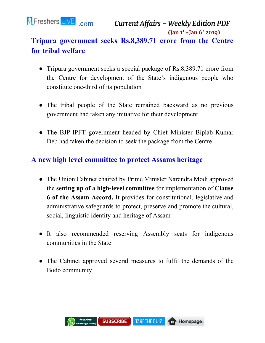![](_page_12_Picture_0.jpeg)

### **Tripura government seeks Rs.8,389.71 crore from the Centre for tribal welfare**

- Tripura government seeks a special package of Rs.8,389.71 crore from the Centre for development of the State's indigenous people who constitute one-third of its population
- The tribal people of the State remained backward as no previous government had taken any initiative for their development
- The BJP-IPFT government headed by Chief Minister Biplab Kumar Deb had taken the decision to seek the package from the Centre

#### **A new high level committee to protect Assams heritage**

- The Union Cabinet chaired by Prime Minister Narendra Modi approved the **setting up of a high-level committee** for implementation of **Clause 6 of the Assam Accord.** It provides for constitutional, legislative and administrative safeguards to protect, preserve and promote the cultural, social, linguistic identity and heritage of Assam
- It also recommended reserving Assembly seats for indigenous communities in the State
- The Cabinet approved several measures to fulfil the demands of the Bodo community

![](_page_12_Picture_10.jpeg)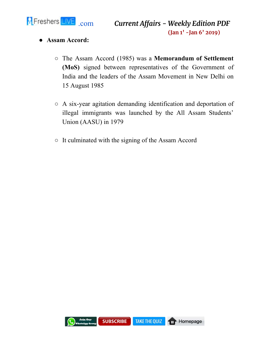![](_page_13_Picture_0.jpeg)

- **● Assam Accord:**
	- The Assam Accord (1985) was a **Memorandum of Settlement (MoS)** signed between representatives of the Government of India and the leaders of the Assam Movement in New Delhi on 15 August 1985
	- A six-year agitation demanding identification and deportation of illegal immigrants was launched by the All Assam Students' Union (AASU) in 1979
	- It culminated with the signing of the Assam Accord

![](_page_13_Picture_6.jpeg)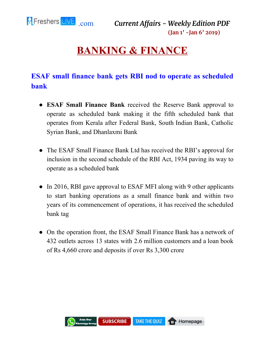<span id="page-14-0"></span>![](_page_14_Picture_0.jpeg)

# **BANKING & FINANCE**

### **ESAF small finance bank gets RBI nod to operate as scheduled bank**

- **ESAF Small Finance Bank** received the Reserve Bank approval to operate as scheduled bank making it the fifth scheduled bank that operates from Kerala after Federal Bank, South Indian Bank, Catholic Syrian Bank, and Dhanlaxmi Bank
- The ESAF Small Finance Bank Ltd has received the RBI's approval for inclusion in the second schedule of the RBI Act, 1934 paving its way to operate as a scheduled bank
- In 2016, RBI gave approval to ESAF MFI along with 9 other applicants to start banking operations as a small finance bank and within two years of its commencement of operations, it has received the scheduled bank tag
- On the operation front, the ESAF Small Finance Bank has a network of 432 outlets across 13 states with 2.6 million customers and a loan book of Rs 4,660 crore and deposits if over Rs 3,300 crore

![](_page_14_Picture_8.jpeg)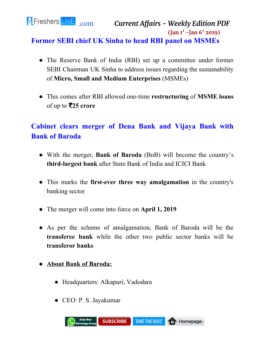![](_page_15_Picture_0.jpeg)

- The Reserve Bank of India (RBI) set up a committee under former SEBI Chairman UK Sinha to address issues regarding the sustainability of **Micro, Small and Medium Enterprises** (MSMEs)
- This comes after RBI allowed one-time **restructuring** of **MSME loans** of up to ₹**25 crore**

# **Cabinet clears merger of Dena Bank and Vijaya Bank with Bank of Baroda**

- With the merger, **Bank of Baroda** (BoB) will become the country's **third-largest bank** after State Bank of India and ICICI Bank
- This marks the **first-ever three way amalgamation** in the country's banking sector
- The merger will come into force on **April 1, 2019**
- As per the scheme of amalgamation, Bank of Baroda will be the **transferee bank** while the other two public sector banks will be **transferor banks**
- **● About Bank of Baroda:**
	- Headquarters: Alkapuri, Vadodara
	- CEO: P. S. Jayakumar

![](_page_15_Picture_12.jpeg)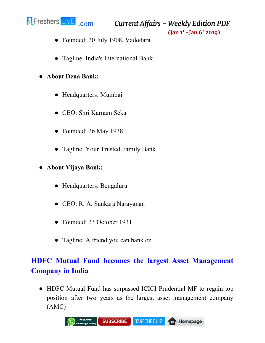![](_page_16_Picture_0.jpeg)

[.com](https://www.fresherslive.com/) *Current Affairs - Weekly Edition PDF*

**(Jan 1' -Jan 6' 2019)**

- Founded: 20 July 1908, Vadodara
- Tagline: India's International Bank

#### **● About Dena Bank:**

- Headquarters: Mumbai
- CEO: Shri Karnam Seka
- Founded: 26 May 1938
- Tagline: Your Trusted Family Bank

#### **● About Vijaya Bank:**

- Headquarters: Bengaluru
- CEO: R. A. Sankara Narayanan
- Founded: 23 October 1931
- Tagline: A friend you can bank on

# **HDFC Mutual Fund becomes the largest Asset Management Company in India**

● HDFC Mutual Fund has surpassed ICICI Prudential MF to regain top position after two years as the largest asset management company (AMC)

![](_page_16_Picture_17.jpeg)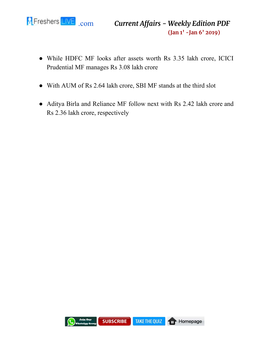![](_page_17_Picture_0.jpeg)

- While HDFC MF looks after assets worth Rs 3.35 lakh crore, ICICI Prudential MF manages Rs 3.08 lakh crore
- With AUM of Rs 2.64 lakh crore, SBI MF stands at the third slot
- Aditya Birla and Reliance MF follow next with Rs 2.42 lakh crore and Rs 2.36 lakh crore, respectively

![](_page_17_Picture_5.jpeg)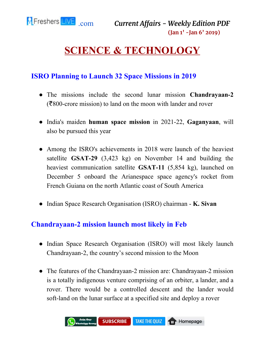# <span id="page-18-0"></span>**SCIENCE & TECHNOLOGY**

#### **ISRO Planning to Launch 32 Space Missions in 2019**

- The missions include the second lunar mission **Chandrayaan-2** (₹800-crore mission) to land on the moon with lander and rover
- India's maiden **human space mission** in 2021-22, **Gaganyaan**, will also be pursued this year
- Among the ISRO's achievements in 2018 were launch of the heaviest satellite **GSAT-29** (3,423 kg) on November 14 and building the heaviest communication satellite **GSAT-11** (5,854 kg), launched on December 5 onboard the Arianespace space agency's rocket from French Guiana on the north Atlantic coast of South America
- Indian Space Research Organisation (ISRO) chairman **K. Sivan**

#### **Chandrayaan-2 mission launch most likely in Feb**

- Indian Space Research Organisation (ISRO) will most likely launch Chandrayaan-2, the country's second mission to the Moon
- The features of the Chandrayaan-2 mission are: Chandrayaan-2 mission is a totally indigenous venture comprising of an orbiter, a lander, and a rover. There would be a controlled descent and the lander would soft-land on the lunar surface at a specified site and deploy a rover

![](_page_18_Picture_11.jpeg)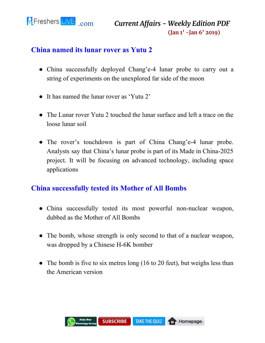![](_page_19_Picture_0.jpeg)

#### **China named its lunar rover as Yutu 2**

- China successfully deployed Chang'e-4 lunar probe to carry out a string of experiments on the unexplored far side of the moon
- It has named the lunar rover as 'Yutu 2'
- The Lunar rover Yutu 2 touched the lunar surface and left a trace on the loose lunar soil
- The rover's touchdown is part of China Chang'e-4 lunar probe. Analysts say that China's lunar probe is part of its Made in China-2025 project. It will be focusing on advanced technology, including space applications

#### **China successfully tested its Mother of All Bombs**

- China successfully tested its most powerful non-nuclear weapon, dubbed as the Mother of All Bombs
- The bomb, whose strength is only second to that of a nuclear weapon, was dropped by a Chinese H-6K bomber
- The bomb is five to six metres long (16 to 20 feet), but weighs less than the American version

![](_page_19_Picture_11.jpeg)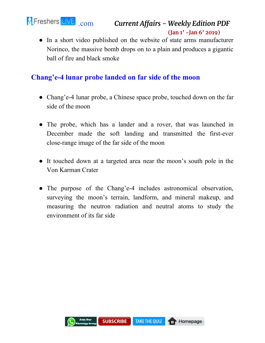![](_page_20_Picture_0.jpeg)

```
.com Current Affairs - Weekly Edition PDF
                      (Jan 1' -Jan 6' 2019)
```
• In a short video published on the website of state arms manufacturer Norinco, the massive bomb drops on to a plain and produces a gigantic ball of fire and black smoke

#### **Chang'e-4 lunar probe landed on far side of the moon**

- Chang'e-4 lunar probe, a Chinese space probe, touched down on the far side of the moon
- The probe, which has a lander and a rover, that was launched in December made the soft landing and transmitted the first-ever close-range image of the far side of the moon
- It touched down at a targeted area near the moon's south pole in the Von Karman Crater
- The purpose of the Chang'e-4 includes astronomical observation, surveying the moon's terrain, landform, and mineral makeup, and measuring the neutron radiation and neutral atoms to study the environment of its far side

![](_page_20_Picture_8.jpeg)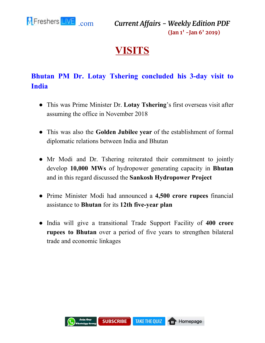<span id="page-21-0"></span>![](_page_21_Picture_0.jpeg)

# **VISITS**

# **Bhutan PM Dr. Lotay Tshering concluded his 3-day visit to India**

- This was Prime Minister Dr. **Lotay Tshering**'s first overseas visit after assuming the office in November 2018
- This was also the **Golden Jubilee year** of the establishment of formal diplomatic relations between India and Bhutan
- Mr Modi and Dr. Tshering reiterated their commitment to jointly develop **10,000 MWs** of hydropower generating capacity in **Bhutan** and in this regard discussed the **Sankosh Hydropower Project**
- Prime Minister Modi had announced a **4,500 crore rupees** financial assistance to **Bhutan** for its **12th five-year plan**
- India will give a transitional Trade Support Facility of **400 crore rupees to Bhutan** over a period of five years to strengthen bilateral trade and economic linkages

![](_page_21_Picture_9.jpeg)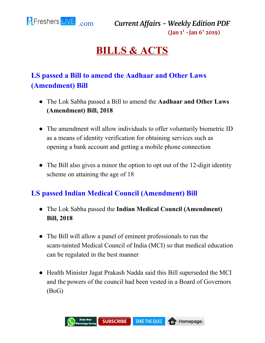<span id="page-22-0"></span>![](_page_22_Picture_0.jpeg)

# **BILLS & ACTS**

# **LS passed a Bill to amend the Aadhaar and Other Laws (Amendment) Bill**

- The Lok Sabha passed a Bill to amend the **Aadhaar and Other Laws (Amendment) Bill, 2018**
- The amendment will allow individuals to offer voluntarily biometric ID as a means of identity verification for obtaining services such as opening a bank account and getting a mobile phone connection
- The Bill also gives a minor the option to opt out of the 12-digit identity scheme on attaining the age of 18

#### **LS passed Indian Medical Council (Amendment) Bill**

- The Lok Sabha passed the **Indian Medical Council (Amendment) Bill, 2018**
- The Bill will allow a panel of eminent professionals to run the scam-tainted Medical Council of India (MCI) so that medical education can be regulated in the best manner
- Health Minister Jagat Prakash Nadda said this Bill superseded the MCI and the powers of the council had been vested in a Board of Governors (BoG)

![](_page_22_Picture_11.jpeg)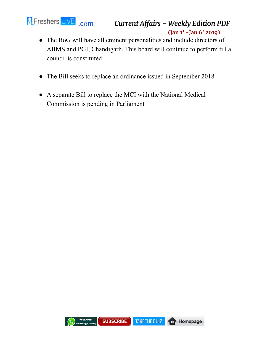![](_page_23_Picture_0.jpeg)

- The BoG will have all eminent personalities and include directors of AIIMS and PGI, Chandigarh. This board will continue to perform till a council is constituted
- The Bill seeks to replace an ordinance issued in September 2018.
- A separate Bill to replace the MCI with the National Medical Commission is pending in Parliament

![](_page_23_Picture_5.jpeg)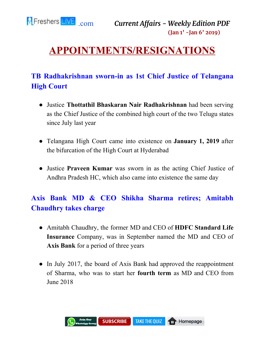![](_page_24_Picture_0.jpeg)

# <span id="page-24-0"></span>**APPOINTMENTS/RESIGNATIONS**

## **TB Radhakrishnan sworn-in as 1st Chief Justice of Telangana High Court**

- Justice **Thottathil Bhaskaran Nair Radhakrishnan** had been serving as the Chief Justice of the combined high court of the two Telugu states since July last year
- Telangana High Court came into existence on **January 1, 2019** after the bifurcation of the High Court at Hyderabad
- Justice **Praveen Kumar** was sworn in as the acting Chief Justice of Andhra Pradesh HC, which also came into existence the same day

## **Axis Bank MD & CEO Shikha Sharma retires; Amitabh Chaudhry takes charge**

- Amitabh Chaudhry, the former MD and CEO of **HDFC Standard Life Insurance** Company, was in September named the MD and CEO of **Axis Bank** for a period of three years
- In July 2017, the board of Axis Bank had approved the reappointment of Sharma, who was to start her **fourth term** as MD and CEO from June 2018

![](_page_24_Picture_10.jpeg)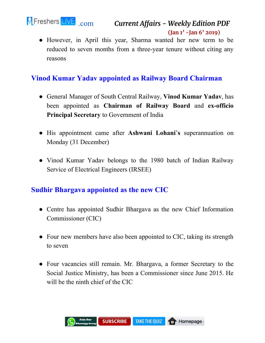![](_page_25_Picture_0.jpeg)

• However, in April this year, Sharma wanted her new term to be reduced to seven months from a three-year tenure without citing any reasons

#### **Vinod Kumar Yadav appointed as Railway Board Chairman**

- General Manager of South Central Railway, **Vinod Kumar Yadav**, has been appointed as **Chairman of Railway Board** and **ex-officio Principal Secretary** to Government of India
- His appointment came after **Ashwani Lohani**'**s** superannuation on Monday (31 December)
- Vinod Kumar Yadav belongs to the 1980 batch of Indian Railway Service of Electrical Engineers (IRSEE)

#### **Sudhir Bhargava appointed as the new CIC**

- Centre has appointed Sudhir Bhargava as the new Chief Information Commissioner (CIC)
- Four new members have also been appointed to CIC, taking its strength to seven
- Four vacancies still remain. Mr. Bhargava, a former Secretary to the Social Justice Ministry, has been a Commissioner since June 2015. He will be the ninth chief of the CIC

![](_page_25_Picture_11.jpeg)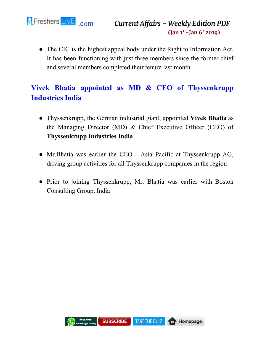![](_page_26_Picture_0.jpeg)

● The CIC is the highest appeal body under the Right to Information Act. It has been functioning with just three members since the former chief and several members completed their tenure last month

## **Vivek Bhatia appointed as MD & CEO of Thyssenkrupp Industries India**

- Thyssenkrupp, the German industrial giant, appointed **Vivek Bhatia** as the Managing Director (MD) & Chief Executive Officer (CEO) of **Thyssenkrupp Industries India**
- Mr. Bhatia was earlier the CEO Asia Pacific at Thyssenkrupp AG, driving group activities for all Thyssenkrupp companies in the region
- Prior to joining Thyssenkrupp, Mr. Bhatia was earlier with Boston Consulting Group, India

![](_page_26_Picture_7.jpeg)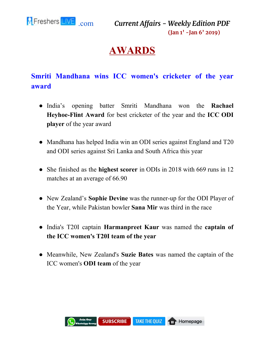<span id="page-27-0"></span>![](_page_27_Picture_0.jpeg)

# **AWARDS**

## **Smriti Mandhana wins ICC women's cricketer of the year award**

- India's opening batter Smriti Mandhana won the **Rachael Heyhoe-Flint Award** for best cricketer of the year and the **ICC ODI player** of the year award
- Mandhana has helped India win an ODI series against England and T20 and ODI series against Sri Lanka and South Africa this year
- She finished as the **highest scorer** in ODIs in 2018 with 669 runs in 12 matches at an average of 66.90
- New Zealand's **Sophie Devine** was the runner-up for the ODI Player of the Year, while Pakistan bowler **Sana Mir** was third in the race
- India's T20I captain **Harmanpreet Kaur** was named the **captain of the ICC women's T20I team of the year**
- Meanwhile, New Zealand's **Suzie Bates** was named the captain of the ICC women's **ODI team** of the year

![](_page_27_Picture_10.jpeg)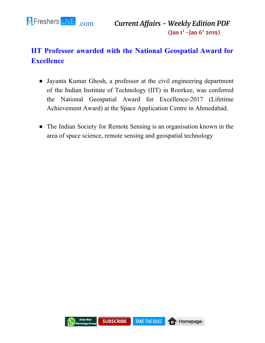![](_page_28_Picture_0.jpeg)

# **IIT Professor awarded with the National Geospatial Award for Excellence**

- Jayanta Kumar Ghosh, a professor at the civil engineering department of the Indian Institute of Technology (IIT) in Roorkee, was conferred the National Geospatial Award for Excellence-2017 (Lifetime Achievement Award) at the Space Application Centre in Ahmedabad.
- The Indian Society for Remote Sensing is an organisation known in the area of space science, remote sensing and geospatial technology

![](_page_28_Picture_5.jpeg)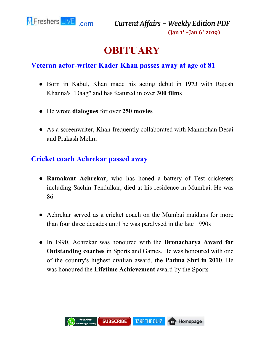<span id="page-29-0"></span>![](_page_29_Picture_0.jpeg)

# **OBITUARY**

#### **Veteran actor-writer Kader Khan passes away at age of 81**

- Born in Kabul, Khan made his acting debut in **1973** with Rajesh Khanna's "Daag" and has featured in over **300 films**
- He wrote **dialogues** for over **250 movies**
- As a screenwriter, Khan frequently collaborated with Manmohan Desai and Prakash Mehra

#### **Cricket coach Achrekar passed away**

- **Ramakant Achrekar**, who has honed a battery of Test cricketers including Sachin Tendulkar, died at his residence in Mumbai. He was 86
- Achrekar served as a cricket coach on the Mumbai maidans for more than four three decades until he was paralysed in the late 1990s
- In 1990, Achrekar was honoured with the **Dronacharya Award for Outstanding coaches** in Sports and Games. He was honoured with one of the country's highest civilian award, th**e Padma Shri in 2010**. He was honoured the **Lifetime Achievement** award by the Sports

![](_page_29_Picture_11.jpeg)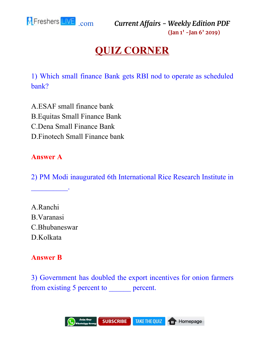<span id="page-30-0"></span>![](_page_30_Picture_0.jpeg)

# **QUIZ CORNER**

1) Which small finance Bank gets RBI nod to operate as scheduled bank?

A.ESAF small finance bank B.Equitas Small Finance Bank C.Dena Small Finance Bank D.Finotech Small Finance bank

#### **Answer A**

 $\mathcal{L}_\text{max}$  and  $\mathcal{L}_\text{max}$ 

2) PM Modi inaugurated 6th International Rice Research Institute in

A.Ranchi B.Varanasi C.Bhubaneswar D.Kolkata

#### **Answer B**

3) Government has doubled the export incentives for onion farmers from existing 5 percent to <u>percent</u>.

![](_page_30_Picture_10.jpeg)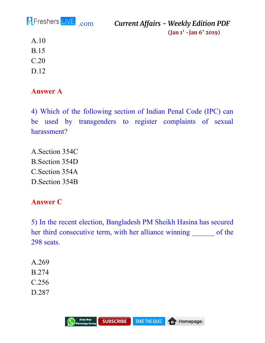![](_page_31_Picture_0.jpeg)

A.10

- B.15
- C.20
- 
- D.12

#### **Answer A**

4) Which of the following section of Indian Penal Code (IPC) can be used by transgenders to register complaints of sexual harassment?

A.Section 354C B.Section 354D C.Section 354A D.Section 354B

#### **Answer C**

5) In the recent election, Bangladesh PM Sheikh Hasina has secured her third consecutive term, with her alliance winning \_\_\_\_\_\_ of the 298 seats.

- A.269 B.274
- C.256
- D.287

![](_page_31_Picture_15.jpeg)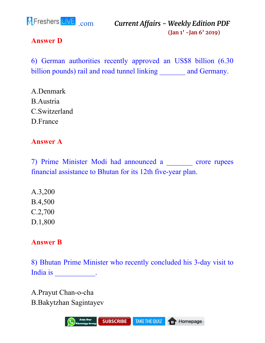![](_page_32_Picture_0.jpeg)

#### **Answer D**

6) German authorities recently approved an US\$8 billion (6.30 billion pounds) rail and road tunnel linking and Germany.

A.Denmark B.Austria C.Switzerland D.France

#### **Answer A**

7) Prime Minister Modi had announced a \_\_\_\_\_\_\_ crore rupees financial assistance to Bhutan for its 12th five-year plan.

A.3,200 B.4,500 C.2,700 D.1,800

#### **Answer B**

8) Bhutan Prime Minister who recently concluded his 3-day visit to India is the contract of the set of the contract of the set of the set of the set of the set of the set of the set of the set of the set of the set of the set of the set of the set of the set of the set of the set of the s

A.Prayut Chan-o-cha B.Bakytzhan Sagintayev

![](_page_32_Picture_11.jpeg)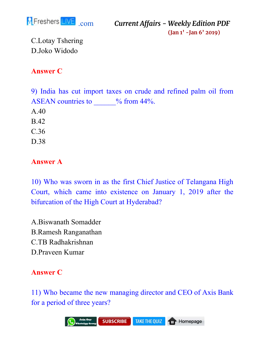![](_page_33_Picture_0.jpeg)

C.Lotay Tshering D.Joko Widodo

#### **Answer C**

9) India has cut import taxes on crude and refined palm oil from ASEAN countries to  $\%$  from 44%. A.40 B.42 C.36 D.38

#### **Answer A**

10) Who was sworn in as the first Chief Justice of Telangana High Court, which came into existence on January 1, 2019 after the bifurcation of the High Court at Hyderabad?

A.Biswanath Somadder B.Ramesh Ranganathan C.TB Radhakrishnan D.Praveen Kumar

#### **Answer C**

11) Who became the new managing director and CEO of Axis Bank for a period of three years?

![](_page_33_Picture_10.jpeg)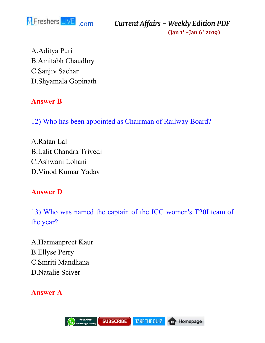![](_page_34_Picture_0.jpeg)

A.Aditya Puri B.Amitabh Chaudhry C.Sanjiv Sachar D.Shyamala Gopinath

#### **Answer B**

12) Who has been appointed as Chairman of Railway Board?

A.Ratan Lal B.Lalit Chandra Trivedi C.Ashwani Lohani D.Vinod Kumar Yadav

#### **Answer D**

13) Who was named the captain of the ICC women's T20I team of the year?

A.Harmanpreet Kaur B.Ellyse Perry C.Smriti Mandhana D.Natalie Sciver

**Answer A**

![](_page_34_Picture_10.jpeg)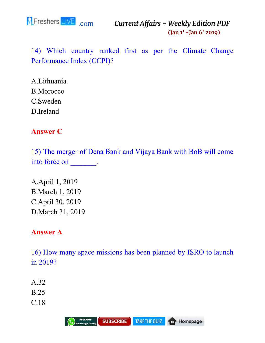![](_page_35_Picture_0.jpeg)

14) Which country ranked first as per the Climate Change Performance Index (CCPI)?

A.Lithuania B.Morocco C.Sweden D.Ireland

#### **Answer C**

15) The merger of Dena Bank and Vijaya Bank with BoB will come into force on \_\_\_\_\_\_\_.

A.April 1, 2019 B.March 1, 2019 C.April 30, 2019 D.March 31, 2019

#### **Answer A**

16) How many space missions has been planned by ISRO to launch in 2019?

- A.32
- B.25
- C.18

![](_page_35_Picture_12.jpeg)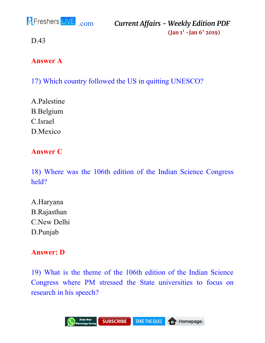![](_page_36_Picture_0.jpeg)

D.43

#### **Answer A**

17) Which country followed the US in quitting UNESCO?

A.Palestine B.Belgium C.Israel D.Mexico

#### **Answer C**

18) Where was the 106th edition of the Indian Science Congress held?

A.Haryana B.Rajasthan C.New Delhi D.Punjab

#### **Answer: D**

19) What is the theme of the 106th edition of the Indian Science Congress where PM stressed the State universities to focus on research in his speech?

![](_page_36_Picture_11.jpeg)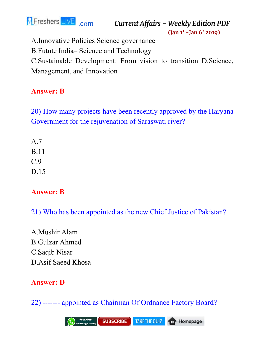![](_page_37_Picture_0.jpeg)

[.com](https://www.fresherslive.com/) *Current Affairs - Weekly Edition PDF*

**(Jan 1' -Jan 6' 2019)**

A.Innovative Policies Science governance

B.Futute India– Science and Technology

C.Sustainable Development: From vision to transition D.Science, Management, and Innovation

#### **Answer: B**

20) How many projects have been recently approved by the Haryana Government for the rejuvenation of Saraswati river?

A.7 B.11 C.9 D.15

#### **Answer: B**

21) Who has been appointed as the new Chief Justice of Pakistan?

A.Mushir Alam B.Gulzar Ahmed C.Saqib Nisar D.Asif Saeed Khosa

#### **Answer: D**

22) ------- appointed as Chairman Of Ordnance Factory Board?

![](_page_37_Picture_14.jpeg)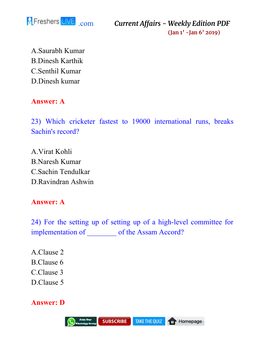![](_page_38_Picture_0.jpeg)

A.Saurabh Kumar B.Dinesh Karthik C.Senthil Kumar D.Dinesh kumar

#### **Answer: A**

23) Which cricketer fastest to 19000 international runs, breaks Sachin's record?

A.Virat Kohli B.Naresh Kumar C.Sachin Tendulkar D.Ravindran Ashwin

#### **Answer: A**

24) For the setting up of setting up of a high-level committee for implementation of \_\_\_\_\_\_\_\_ of the Assam Accord?

A.Clause 2 B.Clause 6 C.Clause 3 D.Clause 5

#### **Answer: D**

![](_page_38_Picture_10.jpeg)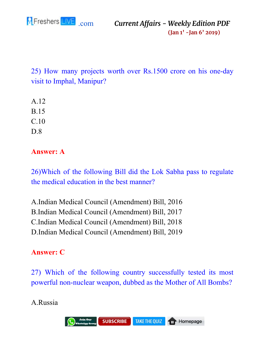![](_page_39_Picture_0.jpeg)

25) How many projects worth over Rs.1500 crore on his one-day visit to Imphal, Manipur?

A.12 B.15 C.10

D.8

### **Answer: A**

26)Which of the following Bill did the Lok Sabha pass to regulate the medical education in the best manner?

A.Indian Medical Council (Amendment) Bill, 2016 B.Indian Medical Council (Amendment) Bill, 2017 C.Indian Medical Council (Amendment) Bill, 2018 D.Indian Medical Council (Amendment) Bill, 2019

### **Answer: C**

27) Which of the following country successfully tested its most powerful non-nuclear weapon, dubbed as the Mother of All Bombs?

#### A.Russia

![](_page_39_Picture_11.jpeg)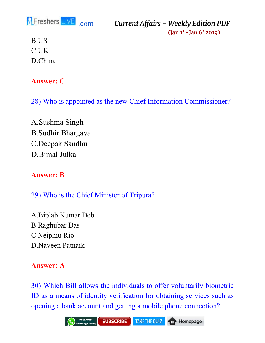![](_page_40_Picture_0.jpeg)

B.US C.UK D.China

#### **Answer: C**

28) Who is appointed as the new Chief Information Commissioner?

A.Sushma Singh B.Sudhir Bhargava C.Deepak Sandhu D.Bimal Julka

#### **Answer: B**

29) Who is the Chief Minister of Tripura?

A.Biplab Kumar Deb B.Raghubar Das C.Neiphiu Rio D.Naveen Patnaik

#### **Answer: A**

30) Which Bill allows the individuals to offer voluntarily biometric ID as a means of identity verification for obtaining services such as opening a bank account and getting a mobile phone connection?

![](_page_40_Picture_11.jpeg)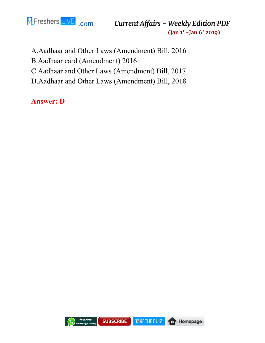![](_page_41_Picture_0.jpeg)

A.Aadhaar and Other Laws (Amendment) Bill, 2016

B.Aadhaar card (Amendment) 2016

C.Aadhaar and Other Laws (Amendment) Bill, 2017

D.Aadhaar and Other Laws (Amendment) Bill, 2018

**Answer: D**

![](_page_41_Picture_7.jpeg)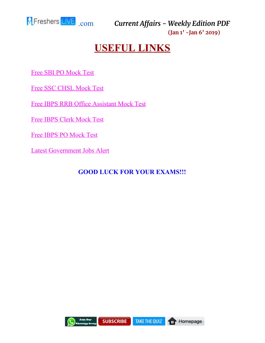<span id="page-42-0"></span>![](_page_42_Picture_0.jpeg)

# **USEFUL LINKS**

[Free SBI PO Mock Test](https://www.fresherslive.com/mock-test/sbi-po-prelims?utm_source=capdf&utm_medium=capdf&utm_campaign=capdf&utm_term=capdf&utm_content=capdf)

[Free SSC CHSL Mock Test](https://www.fresherslive.com/mock-test/chsl-tier-I?utm_source=capdf&utm_medium=capdf&utm_campaign=capdf&utm_term=capdf&utm_content=capdf)

[Free IBPS RRB Office Assistant Mock Test](https://www.fresherslive.com/mock-test/ibps-rrb-office-assistant-prelims?utm_source=capdf&utm_medium=capdf&utm_campaign=capdf&utm_term=capdf&utm_content=capdf)

[Free IBPS Clerk Mock Test](https://www.fresherslive.com/mock-test/ibps-clerk-exam?utm_source=capdf&utm_medium=capdf&utm_campaign=capdf&utm_term=capdf&utm_content=capdf)

[Free IBPS PO Mock Test](https://www.fresherslive.com/mock-test/ibps-po-prelims?utm_source=capdf&utm_medium=capdf&utm_campaign=capdf&utm_term=capdf&utm_content=capdf)

[Latest Government Jobs Alert](https://goo.gl/eLGP5J)

#### **GOOD LUCK FOR YOUR EXAMS!!!**

![](_page_42_Picture_10.jpeg)